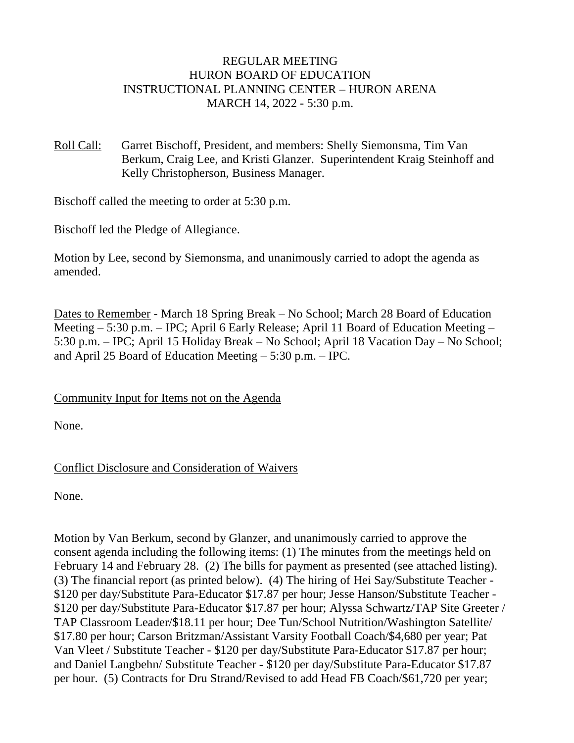# REGULAR MEETING HURON BOARD OF EDUCATION INSTRUCTIONAL PLANNING CENTER – HURON ARENA MARCH 14, 2022 - 5:30 p.m.

Roll Call: Garret Bischoff, President, and members: Shelly Siemonsma, Tim Van Berkum, Craig Lee, and Kristi Glanzer. Superintendent Kraig Steinhoff and Kelly Christopherson, Business Manager.

Bischoff called the meeting to order at 5:30 p.m.

Bischoff led the Pledge of Allegiance.

Motion by Lee, second by Siemonsma, and unanimously carried to adopt the agenda as amended.

Dates to Remember - March 18 Spring Break – No School; March 28 Board of Education Meeting – 5:30 p.m. – IPC; April 6 Early Release; April 11 Board of Education Meeting – 5:30 p.m. – IPC; April 15 Holiday Break – No School; April 18 Vacation Day – No School; and April 25 Board of Education Meeting – 5:30 p.m. – IPC.

Community Input for Items not on the Agenda

None.

# Conflict Disclosure and Consideration of Waivers

None.

Motion by Van Berkum, second by Glanzer, and unanimously carried to approve the consent agenda including the following items: (1) The minutes from the meetings held on February 14 and February 28. (2) The bills for payment as presented (see attached listing). (3) The financial report (as printed below). (4) The hiring of Hei Say/Substitute Teacher - \$120 per day/Substitute Para-Educator \$17.87 per hour; Jesse Hanson/Substitute Teacher - \$120 per day/Substitute Para-Educator \$17.87 per hour; Alyssa Schwartz/TAP Site Greeter / TAP Classroom Leader/\$18.11 per hour; Dee Tun/School Nutrition/Washington Satellite/ \$17.80 per hour; Carson Britzman/Assistant Varsity Football Coach/\$4,680 per year; Pat Van Vleet / Substitute Teacher - \$120 per day/Substitute Para-Educator \$17.87 per hour; and Daniel Langbehn/ Substitute Teacher - \$120 per day/Substitute Para-Educator \$17.87 per hour. (5) Contracts for Dru Strand/Revised to add Head FB Coach/\$61,720 per year;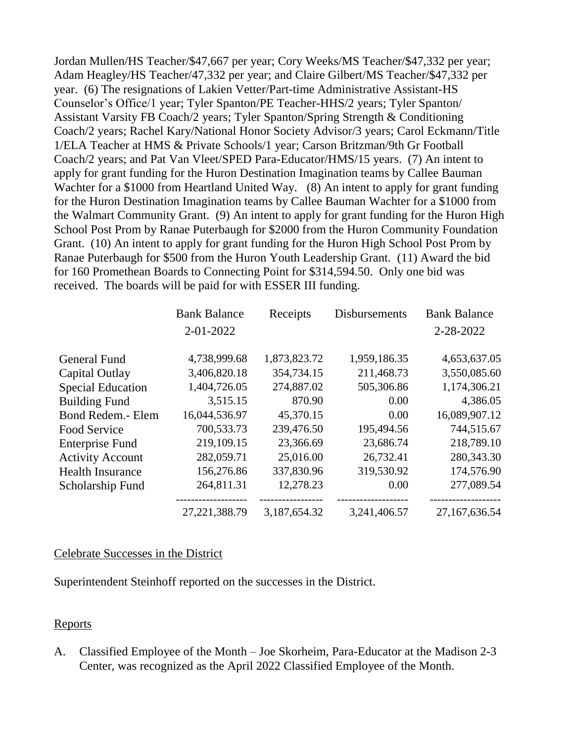Jordan Mullen/HS Teacher/\$47,667 per year; Cory Weeks/MS Teacher/\$47,332 per year; Adam Heagley/HS Teacher/47,332 per year; and Claire Gilbert/MS Teacher/\$47,332 per year. (6) The resignations of Lakien Vetter/Part-time Administrative Assistant-HS Counselor's Office/1 year; Tyler Spanton/PE Teacher-HHS/2 years; Tyler Spanton/ Assistant Varsity FB Coach/2 years; Tyler Spanton/Spring Strength & Conditioning Coach/2 years; Rachel Kary/National Honor Society Advisor/3 years; Carol Eckmann/Title 1/ELA Teacher at HMS & Private Schools/1 year; Carson Britzman/9th Gr Football Coach/2 years; and Pat Van Vleet/SPED Para-Educator/HMS/15 years. (7) An intent to apply for grant funding for the Huron Destination Imagination teams by Callee Bauman Wachter for a \$1000 from Heartland United Way. (8) An intent to apply for grant funding for the Huron Destination Imagination teams by Callee Bauman Wachter for a \$1000 from the Walmart Community Grant. (9) An intent to apply for grant funding for the Huron High School Post Prom by Ranae Puterbaugh for \$2000 from the Huron Community Foundation Grant. (10) An intent to apply for grant funding for the Huron High School Post Prom by Ranae Puterbaugh for \$500 from the Huron Youth Leadership Grant. (11) Award the bid for 160 Promethean Boards to Connecting Point for \$314,594.50. Only one bid was received. The boards will be paid for with ESSER III funding.

|                          | <b>Bank Balance</b> | Receipts     | <b>Disbursements</b> | <b>Bank Balance</b> |
|--------------------------|---------------------|--------------|----------------------|---------------------|
|                          | 2-01-2022           |              |                      | 2-28-2022           |
|                          |                     |              |                      |                     |
| General Fund             | 4,738,999.68        | 1,873,823.72 | 1,959,186.35         | 4,653,637.05        |
| Capital Outlay           | 3,406,820.18        | 354,734.15   | 211,468.73           | 3,550,085.60        |
| <b>Special Education</b> | 1,404,726.05        | 274,887.02   | 505,306.86           | 1,174,306.21        |
| <b>Building Fund</b>     | 3,515.15            | 870.90       | 0.00                 | 4,386.05            |
| Bond Redem.- Elem        | 16,044,536.97       | 45,370.15    | 0.00                 | 16,089,907.12       |
| Food Service             | 700,533.73          | 239,476.50   | 195,494.56           | 744,515.67          |
| <b>Enterprise Fund</b>   | 219,109.15          | 23,366.69    | 23,686.74            | 218,789.10          |
| <b>Activity Account</b>  | 282,059.71          | 25,016.00    | 26,732.41            | 280,343.30          |
| <b>Health Insurance</b>  | 156,276.86          | 337,830.96   | 319,530.92           | 174,576.90          |
| Scholarship Fund         | 264,811.31          | 12,278.23    | 0.00                 | 277,089.54          |
|                          | 27, 221, 388. 79    | 3,187,654.32 | 3,241,406.57         | 27,167,636.54       |

#### Celebrate Successes in the District

Superintendent Steinhoff reported on the successes in the District.

#### Reports

A. Classified Employee of the Month – Joe Skorheim, Para-Educator at the Madison 2-3 Center, was recognized as the April 2022 Classified Employee of the Month.